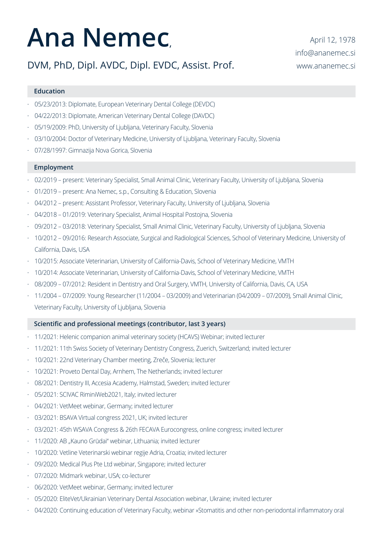# **Ana Nemec**,

## DVM, PhD, Dipl. AVDC, Dipl. EVDC, Assist. Prof.

### **Education**

- · 05/23/2013: Diplomate, European Veterinary Dental College (DEVDC)
- · 04/22/2013: Diplomate, American Veterinary Dental College (DAVDC)
- · 05/19/2009: PhD, University of Ljubljana, Veterinary Faculty, Slovenia
- · 03/10/2004: Doctor of Veterinary Medicine, University of Ljubljana, Veterinary Faculty, Slovenia
- · 07/28/1997: Gimnazija Nova Gorica, Slovenia

### **Employment**

- · 02/2019 present: Veterinary Specialist, Small Animal Clinic, Veterinary Faculty, University of Ljubljana, Slovenia
- · 01/2019 present: Ana Nemec, s.p., Consulting & Education, Slovenia
- · 04/2012 present: Assistant Professor, Veterinary Faculty, University of Ljubljana, Slovenia
- · 04/2018 01/2019: Veterinary Specialist, Animal Hospital Postojna, Slovenia
- · 09/2012 03/2018: Veterinary Specialist, Small Animal Clinic, Veterinary Faculty, University of Ljubljana, Slovenia
- · 10/2012 09/2016: Research Associate, Surgical and Radiological Sciences, School of Veterinary Medicine, University of California, Davis, USA
- · 10/2015: Associate Veterinarian, University of California-Davis, School of Veterinary Medicine, VMTH
- · 10/2014: Associate Veterinarian, University of California-Davis, School of Veterinary Medicine, VMTH
- · 08/2009 07/2012: Resident in Dentistry and Oral Surgery, VMTH, University of California, Davis, CA, USA
- · 11/2004 07/2009: Young Researcher (11/2004 03/2009) and Veterinarian (04/2009 07/2009), Small Animal Clinic, Veterinary Faculty, University of Ljubljana, Slovenia

#### **Scientific and professional meetings (contributor, last 3 years)**

- · 11/2021: Helenic companion animal veterinary society (HCAVS) Webinar; invited lecturer
- · 11/2021: 11th Swiss Society of Veterinary Dentistry Congress, Zuerich, Switzerland; invited lecturer
- · 10/2021: 22nd Veterinary Chamber meeting, Zreče, Slovenia; lecturer
- · 10/2021: Proveto Dental Day, Arnhem, The Netherlands; invited lecturer
- · 08/2021: Dentistry III, Accesia Academy, Halmstad, Sweden; invited lecturer
- 05/2021: SCIVAC RiminiWeb2021, Italy; invited lecturer
- · 04/2021: VetMeet webinar, Germany; invited lecturer
- 03/2021: BSAVA Virtual congress 2021, UK; invited lecturer
- 03/2021: 45th WSAVA Congress & 26th FECAVA Eurocongress, online congress; invited lecturer
- · 11/2020: AB "Kauno Grūdai" webinar, Lithuania; invited lecturer
- · 10/2020: Vetline Veterinarski webinar regije Adria, Croatia; invited lecturer
- · 09/2020: Medical Plus Pte Ltd webinar, Singapore; invited lecturer
- · 07/2020: Midmark webinar, USA; co-lecturer
- 06/2020: VetMeet webinar, Germany; invited lecturer
- · 05/2020: EliteVet/Ukrainian Veterinary Dental Association webinar, Ukraine; invited lecturer
- · 04/2020: Continuing education of Veterinary Faculty, webinar »Stomatitis and other non-periodontal inflammatory oral